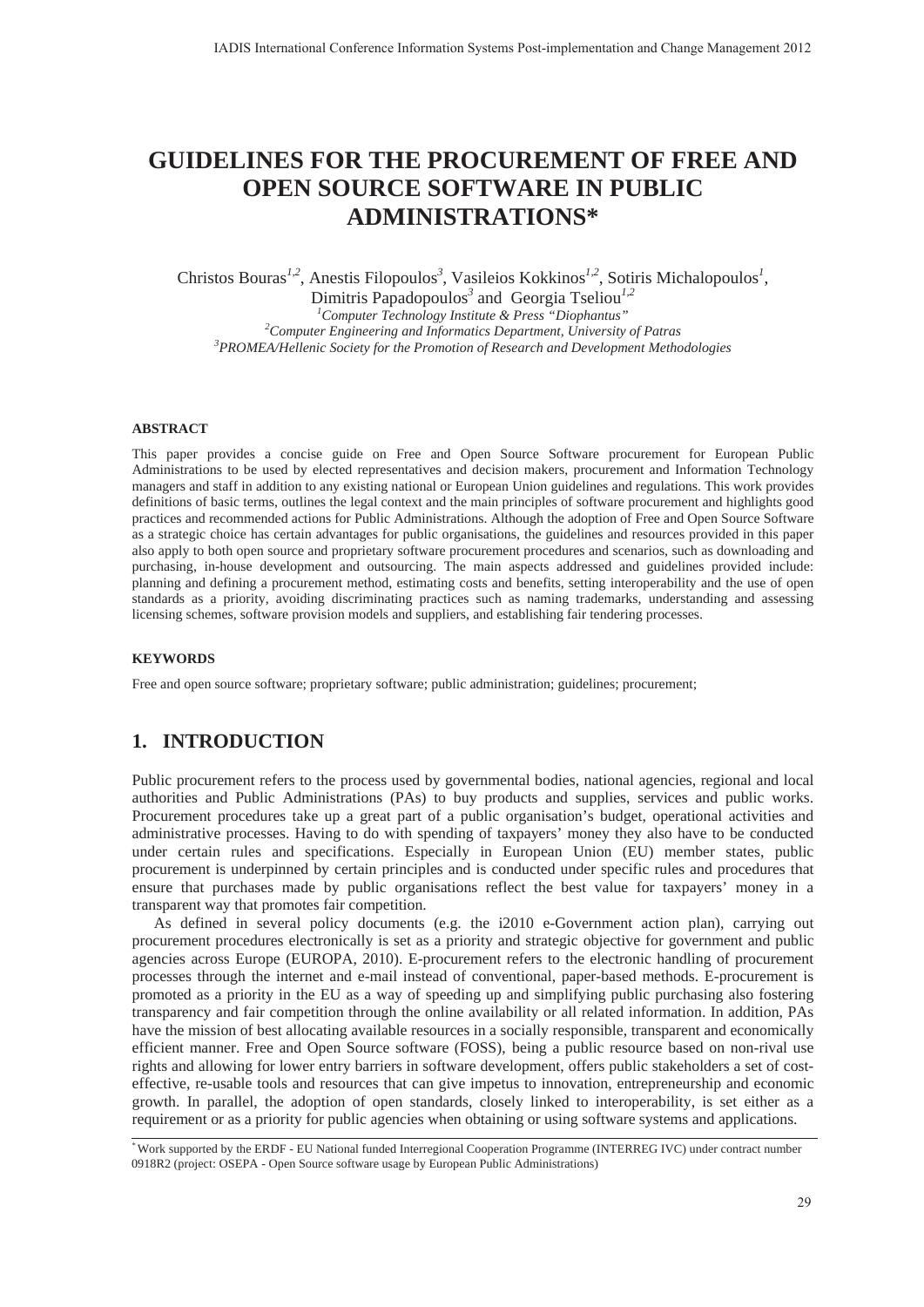# **GUIDELINES FOR THE PROCUREMENT OF FREE AND OPEN SOURCE SOFTWARE IN PUBLIC ADMINISTRATIONS\***

Christos Bouras<sup>1,2</sup>, Anestis Filopoulos<sup>3</sup>, Vasileios Kokkinos<sup>1,2</sup>, Sotiris Michalopoulos<sup>1</sup>,

Dimitris Papadopoulos*<sup>3</sup>* and Georgia Tseliou*1,2 1 Computer Technology Institute & Press "Diophantus" 2* <sup>2</sup> Computer Engineering and Informatics Department, University of Patras *PROMEA/Hellenic Society for the Promotion of Research and Development Methodologies* 

#### **ABSTRACT**

This paper provides a concise guide on Free and Open Source Software procurement for European Public Administrations to be used by elected representatives and decision makers, procurement and Information Technology managers and staff in addition to any existing national or European Union guidelines and regulations. This work provides definitions of basic terms, outlines the legal context and the main principles of software procurement and highlights good practices and recommended actions for Public Administrations. Although the adoption of Free and Open Source Software as a strategic choice has certain advantages for public organisations, the guidelines and resources provided in this paper also apply to both open source and proprietary software procurement procedures and scenarios, such as downloading and purchasing, in-house development and outsourcing. The main aspects addressed and guidelines provided include: planning and defining a procurement method, estimating costs and benefits, setting interoperability and the use of open standards as a priority, avoiding discriminating practices such as naming trademarks, understanding and assessing licensing schemes, software provision models and suppliers, and establishing fair tendering processes.

#### **KEYWORDS**

Free and open source software; proprietary software; public administration; guidelines; procurement;

## **1. INTRODUCTION**

Public procurement refers to the process used by governmental bodies, national agencies, regional and local authorities and Public Administrations (PAs) to buy products and supplies, services and public works. Procurement procedures take up a great part of a public organisation's budget, operational activities and administrative processes. Having to do with spending of taxpayers' money they also have to be conducted under certain rules and specifications. Especially in European Union (EU) member states, public procurement is underpinned by certain principles and is conducted under specific rules and procedures that ensure that purchases made by public organisations reflect the best value for taxpayers' money in a transparent way that promotes fair competition.

As defined in several policy documents (e.g. the i2010 e-Government action plan), carrying out procurement procedures electronically is set as a priority and strategic objective for government and public agencies across Europe (EUROPA, 2010). E-procurement refers to the electronic handling of procurement processes through the internet and e-mail instead of conventional, paper-based methods. E-procurement is promoted as a priority in the EU as a way of speeding up and simplifying public purchasing also fostering transparency and fair competition through the online availability or all related information. In addition, PAs have the mission of best allocating available resources in a socially responsible, transparent and economically efficient manner. Free and Open Source software (FOSS), being a public resource based on non-rival use rights and allowing for lower entry barriers in software development, offers public stakeholders a set of costeffective, re-usable tools and resources that can give impetus to innovation, entrepreneurship and economic growth. In parallel, the adoption of open standards, closely linked to interoperability, is set either as a requirement or as a priority for public agencies when obtaining or using software systems and applications.

*<sup>\*</sup>* Work supported by the ERDF - EU National funded Interregional Cooperation Programme (INTERREG IVC) under contract number 0918R2 (project: OSEPA - Open Source software usage by European Public Administrations)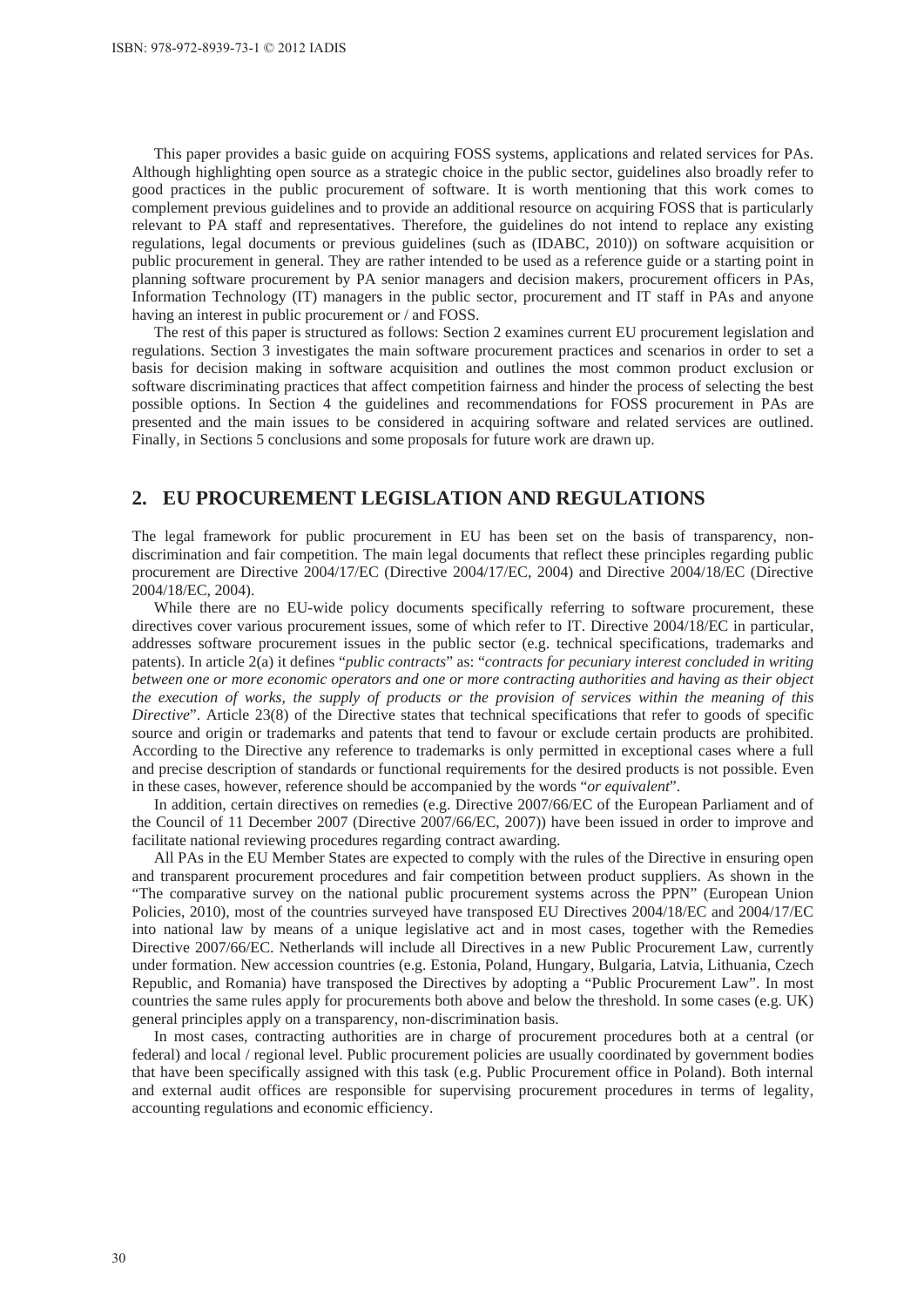This paper provides a basic guide on acquiring FOSS systems, applications and related services for PAs. Although highlighting open source as a strategic choice in the public sector, guidelines also broadly refer to good practices in the public procurement of software. It is worth mentioning that this work comes to complement previous guidelines and to provide an additional resource on acquiring FOSS that is particularly relevant to PA staff and representatives. Therefore, the guidelines do not intend to replace any existing regulations, legal documents or previous guidelines (such as (IDABC, 2010)) on software acquisition or public procurement in general. They are rather intended to be used as a reference guide or a starting point in planning software procurement by PA senior managers and decision makers, procurement officers in PAs, Information Technology (IT) managers in the public sector, procurement and IT staff in PAs and anyone having an interest in public procurement or / and FOSS.

The rest of this paper is structured as follows: Section 2 examines current EU procurement legislation and regulations. Section 3 investigates the main software procurement practices and scenarios in order to set a basis for decision making in software acquisition and outlines the most common product exclusion or software discriminating practices that affect competition fairness and hinder the process of selecting the best possible options. In Section 4 the guidelines and recommendations for FOSS procurement in PAs are presented and the main issues to be considered in acquiring software and related services are outlined. Finally, in Sections 5 conclusions and some proposals for future work are drawn up.

## **2. EU PROCUREMENT LEGISLATION AND REGULATIONS**

The legal framework for public procurement in EU has been set on the basis of transparency, nondiscrimination and fair competition. The main legal documents that reflect these principles regarding public procurement are Directive 2004/17/EC (Directive 2004/17/EC, 2004) and Directive 2004/18/EC (Directive 2004/18/EC, 2004).

While there are no EU-wide policy documents specifically referring to software procurement, these directives cover various procurement issues, some of which refer to IT. Directive 2004/18/EC in particular, addresses software procurement issues in the public sector (e.g. technical specifications, trademarks and patents). In article 2(a) it defines "*public contracts*" as: "*contracts for pecuniary interest concluded in writing between one or more economic operators and one or more contracting authorities and having as their object the execution of works, the supply of products or the provision of services within the meaning of this Directive*". Article 23(8) of the Directive states that technical specifications that refer to goods of specific source and origin or trademarks and patents that tend to favour or exclude certain products are prohibited. According to the Directive any reference to trademarks is only permitted in exceptional cases where a full and precise description of standards or functional requirements for the desired products is not possible. Even in these cases, however, reference should be accompanied by the words "*or equivalent*".

In addition, certain directives on remedies (e.g. Directive 2007/66/EC of the European Parliament and of the Council of 11 December 2007 (Directive 2007/66/EC, 2007)) have been issued in order to improve and facilitate national reviewing procedures regarding contract awarding.

All PAs in the EU Member States are expected to comply with the rules of the Directive in ensuring open and transparent procurement procedures and fair competition between product suppliers. As shown in the "The comparative survey on the national public procurement systems across the PPN" (European Union Policies, 2010), most of the countries surveyed have transposed EU Directives 2004/18/EC and 2004/17/EC into national law by means of a unique legislative act and in most cases, together with the Remedies Directive 2007/66/EC. Netherlands will include all Directives in a new Public Procurement Law, currently under formation. New accession countries (e.g. Estonia, Poland, Hungary, Bulgaria, Latvia, Lithuania, Czech Republic, and Romania) have transposed the Directives by adopting a "Public Procurement Law". In most countries the same rules apply for procurements both above and below the threshold. In some cases (e.g. UK) general principles apply on a transparency, non-discrimination basis.

In most cases, contracting authorities are in charge of procurement procedures both at a central (or federal) and local / regional level. Public procurement policies are usually coordinated by government bodies that have been specifically assigned with this task (e.g. Public Procurement office in Poland). Both internal and external audit offices are responsible for supervising procurement procedures in terms of legality, accounting regulations and economic efficiency.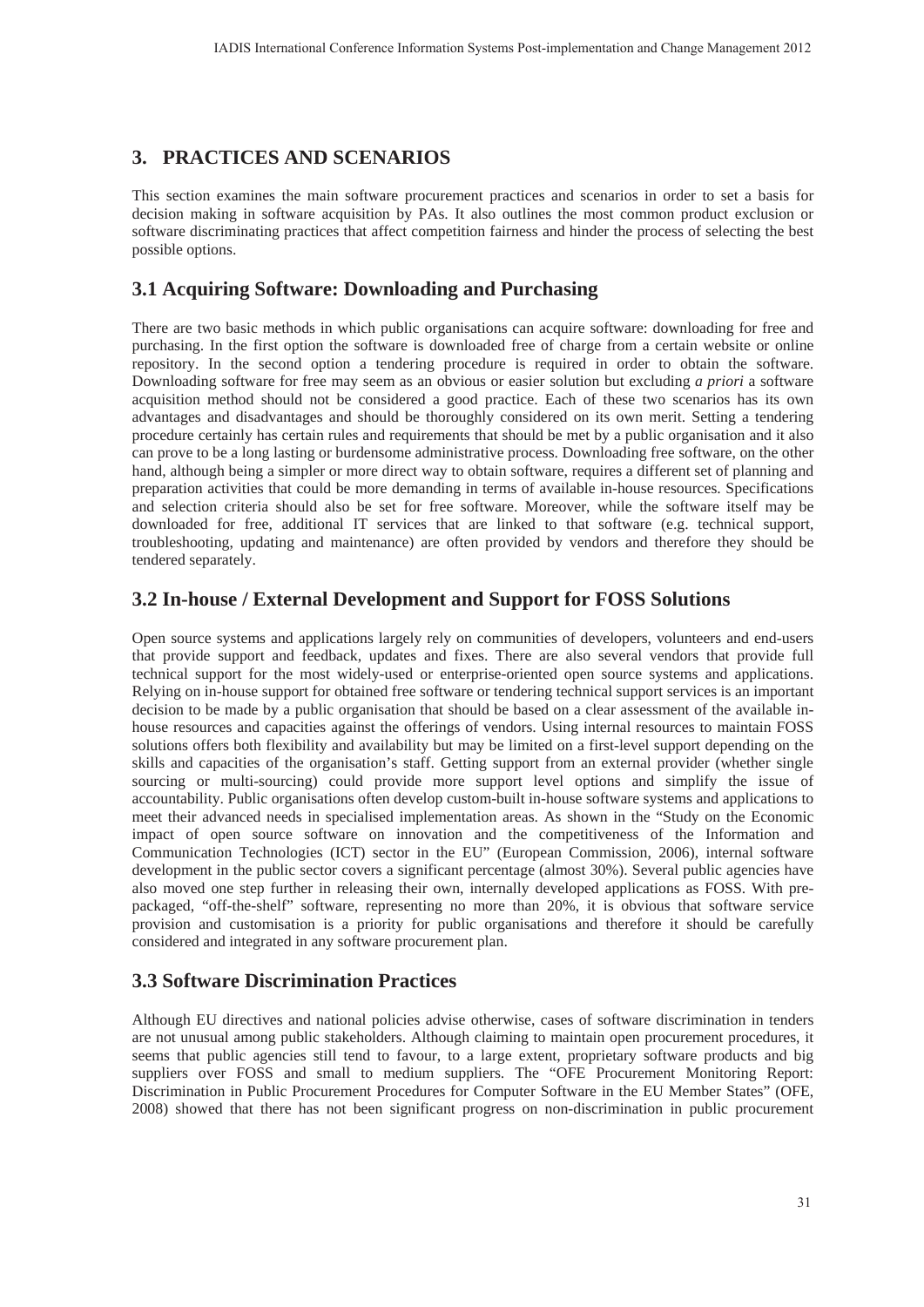# **3. PRACTICES AND SCENARIOS**

This section examines the main software procurement practices and scenarios in order to set a basis for decision making in software acquisition by PAs. It also outlines the most common product exclusion or software discriminating practices that affect competition fairness and hinder the process of selecting the best possible options.

# **3.1 Acquiring Software: Downloading and Purchasing**

There are two basic methods in which public organisations can acquire software: downloading for free and purchasing. In the first option the software is downloaded free of charge from a certain website or online repository. In the second option a tendering procedure is required in order to obtain the software. Downloading software for free may seem as an obvious or easier solution but excluding *a priori* a software acquisition method should not be considered a good practice. Each of these two scenarios has its own advantages and disadvantages and should be thoroughly considered on its own merit. Setting a tendering procedure certainly has certain rules and requirements that should be met by a public organisation and it also can prove to be a long lasting or burdensome administrative process. Downloading free software, on the other hand, although being a simpler or more direct way to obtain software, requires a different set of planning and preparation activities that could be more demanding in terms of available in-house resources. Specifications and selection criteria should also be set for free software. Moreover, while the software itself may be downloaded for free, additional IT services that are linked to that software (e.g. technical support, troubleshooting, updating and maintenance) are often provided by vendors and therefore they should be tendered separately.

# **3.2 In-house / External Development and Support for FOSS Solutions**

Open source systems and applications largely rely on communities of developers, volunteers and end-users that provide support and feedback, updates and fixes. There are also several vendors that provide full technical support for the most widely-used or enterprise-oriented open source systems and applications. Relying on in-house support for obtained free software or tendering technical support services is an important decision to be made by a public organisation that should be based on a clear assessment of the available inhouse resources and capacities against the offerings of vendors. Using internal resources to maintain FOSS solutions offers both flexibility and availability but may be limited on a first-level support depending on the skills and capacities of the organisation's staff. Getting support from an external provider (whether single sourcing or multi-sourcing) could provide more support level options and simplify the issue of accountability. Public organisations often develop custom-built in-house software systems and applications to meet their advanced needs in specialised implementation areas. As shown in the "Study on the Economic impact of open source software on innovation and the competitiveness of the Information and Communication Technologies (ICT) sector in the EU" (European Commission, 2006), internal software development in the public sector covers a significant percentage (almost 30%). Several public agencies have also moved one step further in releasing their own, internally developed applications as FOSS. With prepackaged, "off-the-shelf" software, representing no more than 20%, it is obvious that software service provision and customisation is a priority for public organisations and therefore it should be carefully considered and integrated in any software procurement plan.

# **3.3 Software Discrimination Practices**

Although EU directives and national policies advise otherwise, cases of software discrimination in tenders are not unusual among public stakeholders. Although claiming to maintain open procurement procedures, it seems that public agencies still tend to favour, to a large extent, proprietary software products and big suppliers over FOSS and small to medium suppliers. The "OFE Procurement Monitoring Report: Discrimination in Public Procurement Procedures for Computer Software in the EU Member States" (OFE, 2008) showed that there has not been significant progress on non-discrimination in public procurement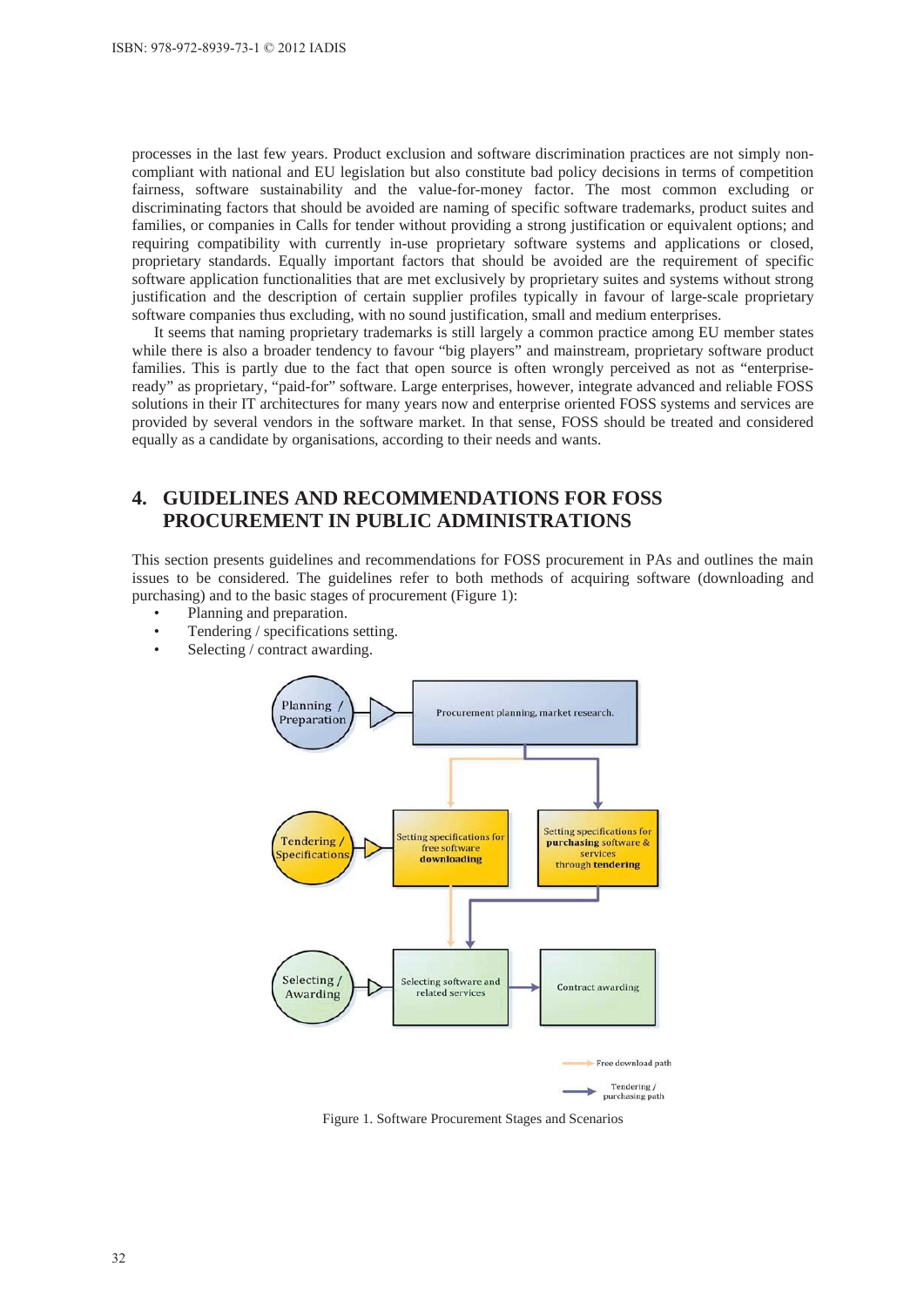processes in the last few years. Product exclusion and software discrimination practices are not simply noncompliant with national and EU legislation but also constitute bad policy decisions in terms of competition fairness, software sustainability and the value-for-money factor. The most common excluding or discriminating factors that should be avoided are naming of specific software trademarks, product suites and families, or companies in Calls for tender without providing a strong justification or equivalent options; and requiring compatibility with currently in-use proprietary software systems and applications or closed, proprietary standards. Equally important factors that should be avoided are the requirement of specific software application functionalities that are met exclusively by proprietary suites and systems without strong justification and the description of certain supplier profiles typically in favour of large-scale proprietary software companies thus excluding, with no sound justification, small and medium enterprises.

It seems that naming proprietary trademarks is still largely a common practice among EU member states while there is also a broader tendency to favour "big players" and mainstream, proprietary software product families. This is partly due to the fact that open source is often wrongly perceived as not as "enterpriseready" as proprietary, "paid-for" software. Large enterprises, however, integrate advanced and reliable FOSS solutions in their IT architectures for many years now and enterprise oriented FOSS systems and services are provided by several vendors in the software market. In that sense, FOSS should be treated and considered equally as a candidate by organisations, according to their needs and wants.

# **4. GUIDELINES AND RECOMMENDATIONS FOR FOSS PROCUREMENT IN PUBLIC ADMINISTRATIONS**

This section presents guidelines and recommendations for FOSS procurement in PAs and outlines the main issues to be considered. The guidelines refer to both methods of acquiring software (downloading and purchasing) and to the basic stages of procurement (Figure 1):

- Planning and preparation.
- Tendering / specifications setting.
- Selecting / contract awarding.



Figure 1. Software Procurement Stages and Scenarios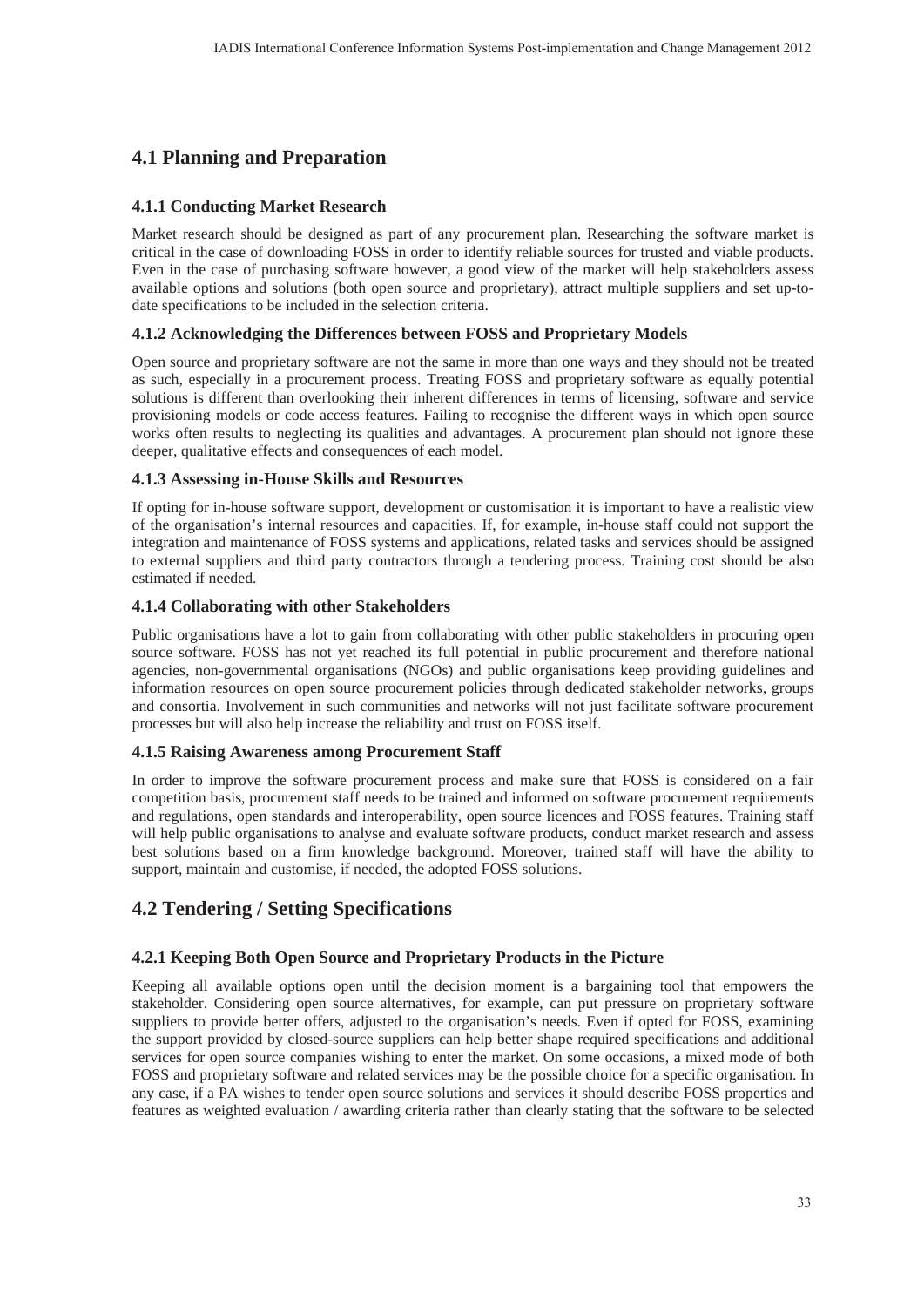# **4.1 Planning and Preparation**

### **4.1.1 Conducting Market Research**

Market research should be designed as part of any procurement plan. Researching the software market is critical in the case of downloading FOSS in order to identify reliable sources for trusted and viable products. Even in the case of purchasing software however, a good view of the market will help stakeholders assess available options and solutions (both open source and proprietary), attract multiple suppliers and set up-todate specifications to be included in the selection criteria.

### **4.1.2 Acknowledging the Differences between FOSS and Proprietary Models**

Open source and proprietary software are not the same in more than one ways and they should not be treated as such, especially in a procurement process. Treating FOSS and proprietary software as equally potential solutions is different than overlooking their inherent differences in terms of licensing, software and service provisioning models or code access features. Failing to recognise the different ways in which open source works often results to neglecting its qualities and advantages. A procurement plan should not ignore these deeper, qualitative effects and consequences of each model.

#### **4.1.3 Assessing in-House Skills and Resources**

If opting for in-house software support, development or customisation it is important to have a realistic view of the organisation's internal resources and capacities. If, for example, in-house staff could not support the integration and maintenance of FOSS systems and applications, related tasks and services should be assigned to external suppliers and third party contractors through a tendering process. Training cost should be also estimated if needed.

#### **4.1.4 Collaborating with other Stakeholders**

Public organisations have a lot to gain from collaborating with other public stakeholders in procuring open source software. FOSS has not yet reached its full potential in public procurement and therefore national agencies, non-governmental organisations (NGOs) and public organisations keep providing guidelines and information resources on open source procurement policies through dedicated stakeholder networks, groups and consortia. Involvement in such communities and networks will not just facilitate software procurement processes but will also help increase the reliability and trust on FOSS itself.

#### **4.1.5 Raising Awareness among Procurement Staff**

In order to improve the software procurement process and make sure that FOSS is considered on a fair competition basis, procurement staff needs to be trained and informed on software procurement requirements and regulations, open standards and interoperability, open source licences and FOSS features. Training staff will help public organisations to analyse and evaluate software products, conduct market research and assess best solutions based on a firm knowledge background. Moreover, trained staff will have the ability to support, maintain and customise, if needed, the adopted FOSS solutions.

# **4.2 Tendering / Setting Specifications**

#### **4.2.1 Keeping Both Open Source and Proprietary Products in the Picture**

Keeping all available options open until the decision moment is a bargaining tool that empowers the stakeholder. Considering open source alternatives, for example, can put pressure on proprietary software suppliers to provide better offers, adjusted to the organisation's needs. Even if opted for FOSS, examining the support provided by closed-source suppliers can help better shape required specifications and additional services for open source companies wishing to enter the market. On some occasions, a mixed mode of both FOSS and proprietary software and related services may be the possible choice for a specific organisation. In any case, if a PA wishes to tender open source solutions and services it should describe FOSS properties and features as weighted evaluation / awarding criteria rather than clearly stating that the software to be selected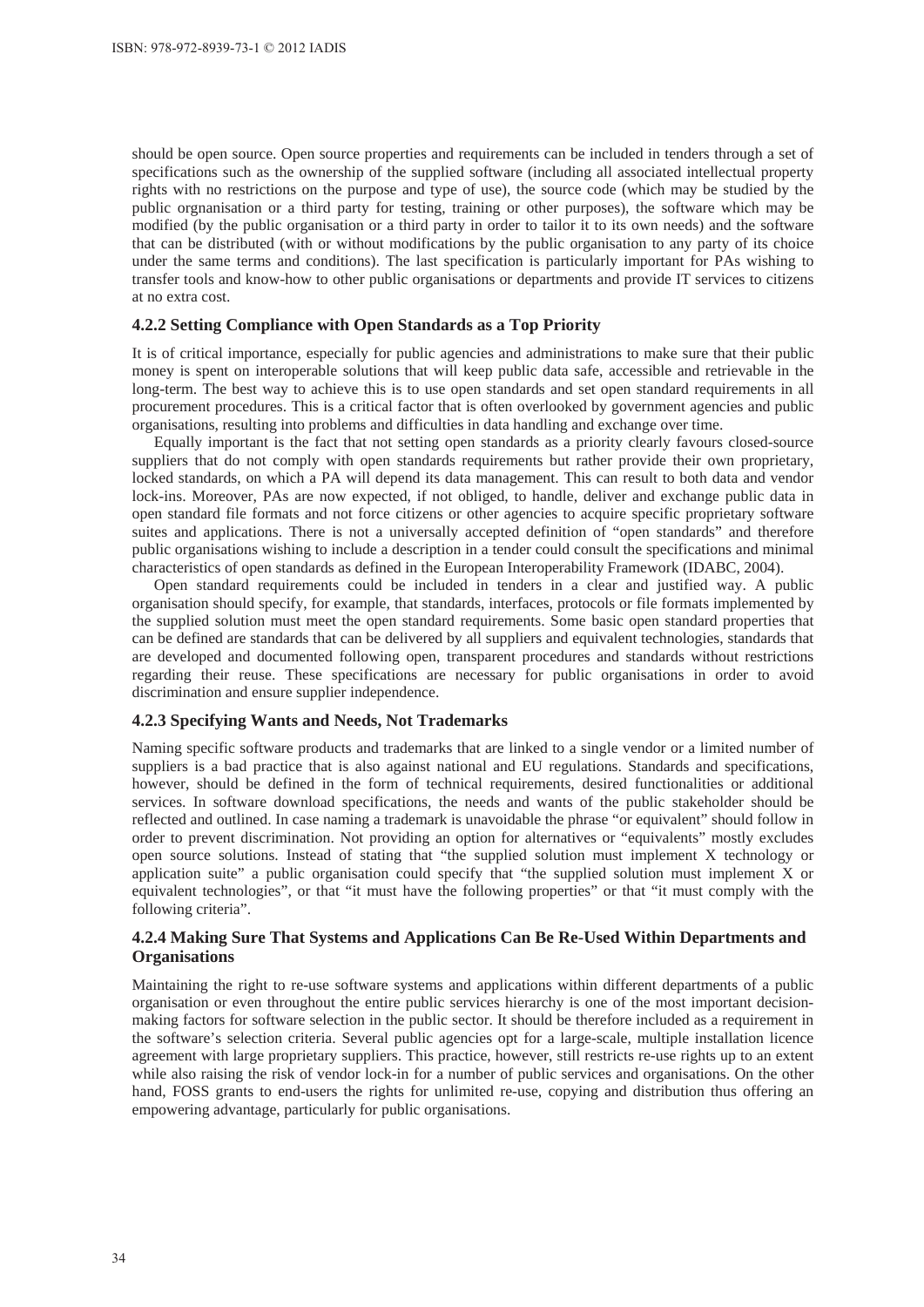should be open source. Open source properties and requirements can be included in tenders through a set of specifications such as the ownership of the supplied software (including all associated intellectual property rights with no restrictions on the purpose and type of use), the source code (which may be studied by the public orgnanisation or a third party for testing, training or other purposes), the software which may be modified (by the public organisation or a third party in order to tailor it to its own needs) and the software that can be distributed (with or without modifications by the public organisation to any party of its choice under the same terms and conditions). The last specification is particularly important for PAs wishing to transfer tools and know-how to other public organisations or departments and provide IT services to citizens at no extra cost.

#### **4.2.2 Setting Compliance with Open Standards as a Top Priority**

It is of critical importance, especially for public agencies and administrations to make sure that their public money is spent on interoperable solutions that will keep public data safe, accessible and retrievable in the long-term. The best way to achieve this is to use open standards and set open standard requirements in all procurement procedures. This is a critical factor that is often overlooked by government agencies and public organisations, resulting into problems and difficulties in data handling and exchange over time.

Equally important is the fact that not setting open standards as a priority clearly favours closed-source suppliers that do not comply with open standards requirements but rather provide their own proprietary, locked standards, on which a PA will depend its data management. This can result to both data and vendor lock-ins. Moreover, PAs are now expected, if not obliged, to handle, deliver and exchange public data in open standard file formats and not force citizens or other agencies to acquire specific proprietary software suites and applications. There is not a universally accepted definition of "open standards" and therefore public organisations wishing to include a description in a tender could consult the specifications and minimal characteristics of open standards as defined in the European Interoperability Framework (IDABC, 2004).

Open standard requirements could be included in tenders in a clear and justified way. A public organisation should specify, for example, that standards, interfaces, protocols or file formats implemented by the supplied solution must meet the open standard requirements. Some basic open standard properties that can be defined are standards that can be delivered by all suppliers and equivalent technologies, standards that are developed and documented following open, transparent procedures and standards without restrictions regarding their reuse. These specifications are necessary for public organisations in order to avoid discrimination and ensure supplier independence.

#### **4.2.3 Specifying Wants and Needs, Not Trademarks**

Naming specific software products and trademarks that are linked to a single vendor or a limited number of suppliers is a bad practice that is also against national and EU regulations. Standards and specifications, however, should be defined in the form of technical requirements, desired functionalities or additional services. In software download specifications, the needs and wants of the public stakeholder should be reflected and outlined. In case naming a trademark is unavoidable the phrase "or equivalent" should follow in order to prevent discrimination. Not providing an option for alternatives or "equivalents" mostly excludes open source solutions. Instead of stating that "the supplied solution must implement X technology or application suite" a public organisation could specify that "the supplied solution must implement X or equivalent technologies", or that "it must have the following properties" or that "it must comply with the following criteria".

#### **4.2.4 Making Sure That Systems and Applications Can Be Re-Used Within Departments and Organisations**

Maintaining the right to re-use software systems and applications within different departments of a public organisation or even throughout the entire public services hierarchy is one of the most important decisionmaking factors for software selection in the public sector. It should be therefore included as a requirement in the software's selection criteria. Several public agencies opt for a large-scale, multiple installation licence agreement with large proprietary suppliers. This practice, however, still restricts re-use rights up to an extent while also raising the risk of vendor lock-in for a number of public services and organisations. On the other hand, FOSS grants to end-users the rights for unlimited re-use, copying and distribution thus offering an empowering advantage, particularly for public organisations.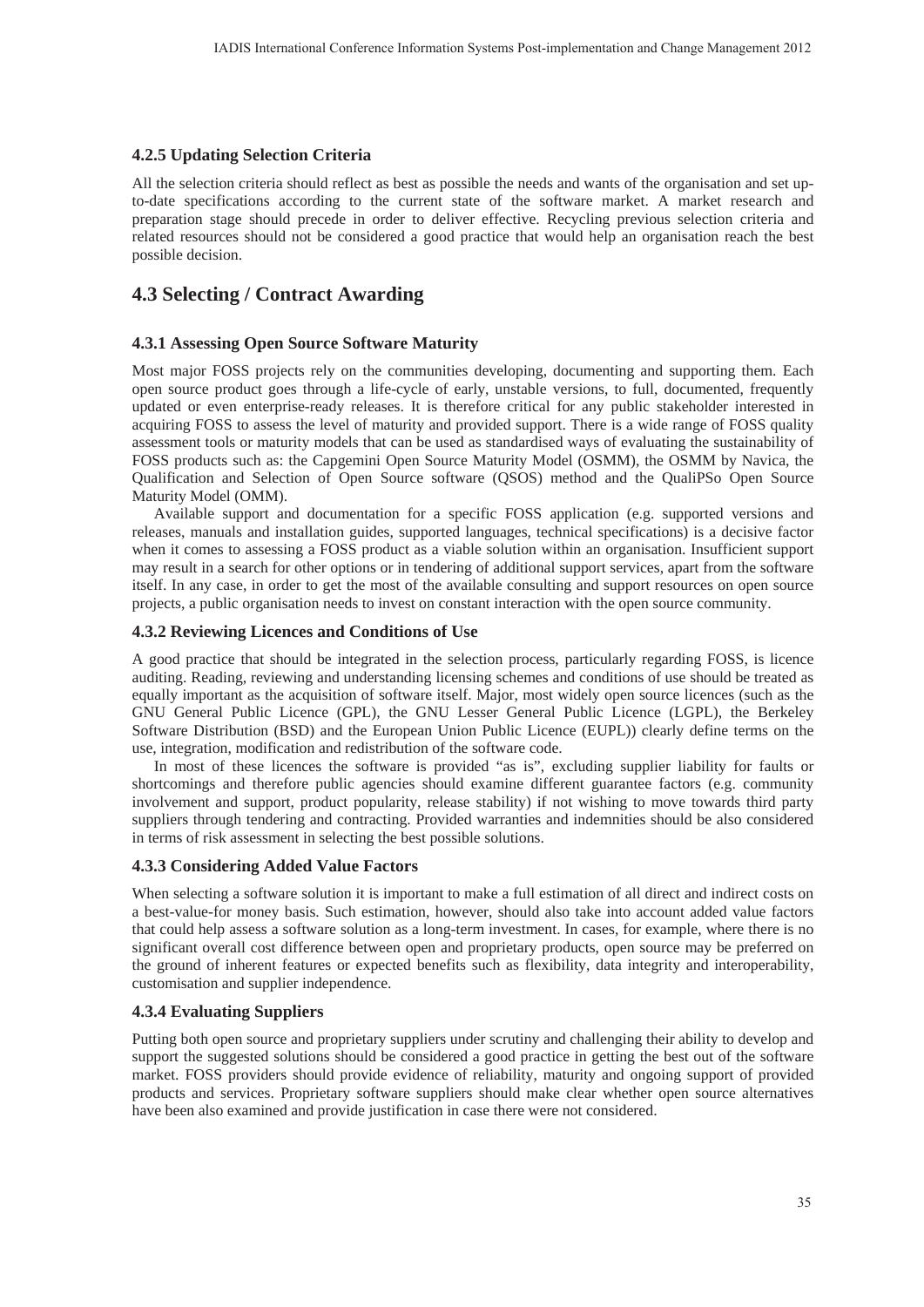#### **4.2.5 Updating Selection Criteria**

All the selection criteria should reflect as best as possible the needs and wants of the organisation and set upto-date specifications according to the current state of the software market. A market research and preparation stage should precede in order to deliver effective. Recycling previous selection criteria and related resources should not be considered a good practice that would help an organisation reach the best possible decision.

# **4.3 Selecting / Contract Awarding**

#### **4.3.1 Assessing Open Source Software Maturity**

Most major FOSS projects rely on the communities developing, documenting and supporting them. Each open source product goes through a life-cycle of early, unstable versions, to full, documented, frequently updated or even enterprise-ready releases. It is therefore critical for any public stakeholder interested in acquiring FOSS to assess the level of maturity and provided support. There is a wide range of FOSS quality assessment tools or maturity models that can be used as standardised ways of evaluating the sustainability of FOSS products such as: the Capgemini Open Source Maturity Model (OSMM), the OSMM by Navica, the Qualification and Selection of Open Source software (QSOS) method and the QualiPSo Open Source Maturity Model (OMM).

Available support and documentation for a specific FOSS application (e.g. supported versions and releases, manuals and installation guides, supported languages, technical specifications) is a decisive factor when it comes to assessing a FOSS product as a viable solution within an organisation. Insufficient support may result in a search for other options or in tendering of additional support services, apart from the software itself. In any case, in order to get the most of the available consulting and support resources on open source projects, a public organisation needs to invest on constant interaction with the open source community.

#### **4.3.2 Reviewing Licences and Conditions of Use**

A good practice that should be integrated in the selection process, particularly regarding FOSS, is licence auditing. Reading, reviewing and understanding licensing schemes and conditions of use should be treated as equally important as the acquisition of software itself. Major, most widely open source licences (such as the GNU General Public Licence (GPL), the GNU Lesser General Public Licence (LGPL), the Berkeley Software Distribution (BSD) and the European Union Public Licence (EUPL)) clearly define terms on the use, integration, modification and redistribution of the software code.

In most of these licences the software is provided "as is", excluding supplier liability for faults or shortcomings and therefore public agencies should examine different guarantee factors (e.g. community involvement and support, product popularity, release stability) if not wishing to move towards third party suppliers through tendering and contracting. Provided warranties and indemnities should be also considered in terms of risk assessment in selecting the best possible solutions.

#### **4.3.3 Considering Added Value Factors**

When selecting a software solution it is important to make a full estimation of all direct and indirect costs on a best-value-for money basis. Such estimation, however, should also take into account added value factors that could help assess a software solution as a long-term investment. In cases, for example, where there is no significant overall cost difference between open and proprietary products, open source may be preferred on the ground of inherent features or expected benefits such as flexibility, data integrity and interoperability, customisation and supplier independence.

#### **4.3.4 Evaluating Suppliers**

Putting both open source and proprietary suppliers under scrutiny and challenging their ability to develop and support the suggested solutions should be considered a good practice in getting the best out of the software market. FOSS providers should provide evidence of reliability, maturity and ongoing support of provided products and services. Proprietary software suppliers should make clear whether open source alternatives have been also examined and provide justification in case there were not considered.